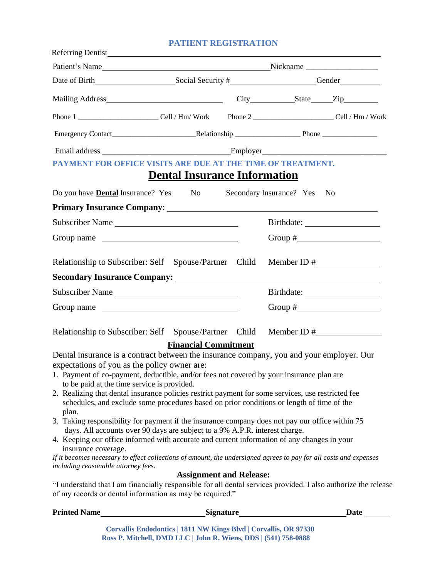## **PATIENT REGISTRATION**

| PAYMENT FOR OFFICE VISITS ARE DUE AT THE TIME OF TREATMENT.                                                                                                                                              |                                     |                          |                |
|----------------------------------------------------------------------------------------------------------------------------------------------------------------------------------------------------------|-------------------------------------|--------------------------|----------------|
|                                                                                                                                                                                                          | <b>Dental Insurance Information</b> |                          |                |
| Do you have <b>Dental</b> Insurance? Yes No                                                                                                                                                              |                                     | Secondary Insurance? Yes | N <sub>0</sub> |
|                                                                                                                                                                                                          |                                     |                          |                |
| Subscriber Name                                                                                                                                                                                          |                                     |                          |                |
| Group name                                                                                                                                                                                               |                                     |                          |                |
|                                                                                                                                                                                                          |                                     |                          |                |
| Relationship to Subscriber: Self Spouse/Partner Child Member ID #                                                                                                                                        |                                     |                          |                |
|                                                                                                                                                                                                          |                                     |                          |                |
| Subscriber Name                                                                                                                                                                                          |                                     |                          |                |
| Group name                                                                                                                                                                                               |                                     |                          |                |
| Relationship to Subscriber: Self Spouse/Partner Child Member ID #                                                                                                                                        |                                     |                          |                |
|                                                                                                                                                                                                          | <b>Financial Commitment</b>         |                          |                |
| Dental insurance is a contract between the insurance company, you and your employer. Our                                                                                                                 |                                     |                          |                |
| expectations of you as the policy owner are:<br>1. Payment of co-payment, deductible, and/or fees not covered by your insurance plan are                                                                 |                                     |                          |                |
| to be paid at the time service is provided.                                                                                                                                                              |                                     |                          |                |
| 2. Realizing that dental insurance policies restrict payment for some services, use restricted fee<br>schedules, and exclude some procedures based on prior conditions or length of time of the<br>plan. |                                     |                          |                |
| 3. Taking responsibility for payment if the insurance company does not pay our office within 75                                                                                                          |                                     |                          |                |
| days. All accounts over 90 days are subject to a 9% A.P.R. interest charge.<br>4. Keeping our office informed with accurate and current information of any changes in your<br>insurance coverage.        |                                     |                          |                |
| If it becomes necessary to effect collections of amount, the undersigned agrees to pay for all costs and expenses<br>including reasonable attorney fees.                                                 |                                     |                          |                |
|                                                                                                                                                                                                          | <b>Assignment and Release:</b>      |                          |                |
| "I understand that I am financially responsible for all dental services provided. I also authorize the release<br>of my records or dental information as may be required."                               |                                     |                          |                |
|                                                                                                                                                                                                          |                                     |                          |                |

**Corvallis Endodontics | 1811 NW Kings Blvd | Corvallis, OR 97330 Ross P. Mitchell, DMD LLC | John R. Wiens, DDS | (541) 758-0888**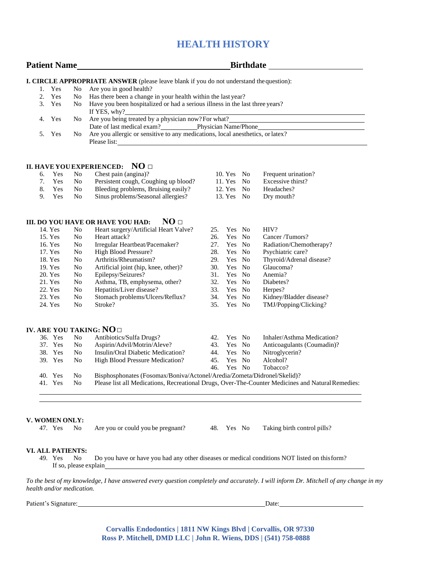## **HEALTH HISTORY**

| <b>Patient Name</b> |                |     |                | Birthdate <b>Exercise Service Service Service Service</b> Service Service Service Service Service Service Service Service Service Service Service Service Service Service Service Service Service Service Service Service Service S |     |              |  |                            |
|---------------------|----------------|-----|----------------|-------------------------------------------------------------------------------------------------------------------------------------------------------------------------------------------------------------------------------------|-----|--------------|--|----------------------------|
|                     |                |     |                | I. CIRCLE APPROPRIATE ANSWER (please leave blank if you do not understand the question):                                                                                                                                            |     |              |  |                            |
|                     | 1.             | Yes | N <sub>o</sub> | Are you in good health?                                                                                                                                                                                                             |     |              |  |                            |
|                     | 2.             | Yes | N <sub>o</sub> | Has there been a change in your health within the last year?                                                                                                                                                                        |     |              |  |                            |
|                     | 3.             | Yes | N <sub>o</sub> | Have you been hospitalized or had a serious illness in the last three years?<br>If YES, why?                                                                                                                                        |     |              |  |                            |
|                     | 4.             | Yes | No.            | Are you being treated by a physician now?For what?                                                                                                                                                                                  |     |              |  |                            |
|                     | 5.             | Yes | No             | Are you allergic or sensitive to any medications, local anesthetics, or latex?<br>Please list:                                                                                                                                      |     |              |  |                            |
|                     |                |     |                | II. HAVE YOU EXPERIENCED: NO $\Box$                                                                                                                                                                                                 |     |              |  |                            |
|                     | б.             | Yes | No             | Chest pain (angina)?                                                                                                                                                                                                                |     | $10. Yes$ No |  | Frequent urination?        |
|                     | 7 <sub>1</sub> | Yes | N <sub>o</sub> | Persistent cough, Coughing up blood?                                                                                                                                                                                                |     | 11. Yes No   |  | Excessive thirst?          |
|                     | 8.             | Yes | N <sub>o</sub> | Bleeding problems, Bruising easily?                                                                                                                                                                                                 |     | 12. Yes No   |  | Headaches?                 |
|                     | 9.             | Yes | N <sub>0</sub> | Sinus problems/Seasonal allergies?                                                                                                                                                                                                  |     | 13. Yes $No$ |  | Dry mouth?                 |
|                     |                |     |                | NO <sub>□</sub><br><b>III. DO YOU HAVE OR HAVE YOU HAD:</b>                                                                                                                                                                         |     |              |  |                            |
|                     | 14. Yes        |     | N <sub>o</sub> | Heart surgery/Artificial Heart Valve?                                                                                                                                                                                               | 25. | Yes No       |  | HIV?                       |
|                     | 15. Yes        |     | No             | Heart attack?                                                                                                                                                                                                                       | 26. | Yes No       |  | Cancer /Tumors?            |
|                     | 16. Yes        |     | N <sub>0</sub> | Irregular Heartbeat/Pacemaker?                                                                                                                                                                                                      | 27. | Yes No       |  | Radiation/Chemotherapy?    |
|                     | 17. Yes        |     | No             | <b>High Blood Pressure?</b>                                                                                                                                                                                                         | 28. | Yes No       |  | Psychiatric care?          |
|                     | 18. Yes        |     | N <sub>0</sub> | Arthritis/Rheumatism?                                                                                                                                                                                                               | 29. | Yes No       |  | Thyroid/Adrenal disease?   |
|                     | 19. Yes        |     | No             | Artificial joint (hip, knee, other)?                                                                                                                                                                                                | 30. | Yes No       |  | Glaucoma?                  |
|                     | 20. Yes        |     | No             | Epilepsy/Seizures?                                                                                                                                                                                                                  | 31. | Yes No       |  | Anemia?                    |
|                     | 21. Yes        |     | No             | Asthma, TB, emphysema, other?                                                                                                                                                                                                       | 32. | Yes No       |  | Diabetes?                  |
|                     | 22. Yes        |     | N <sub>0</sub> | Hepatitis/Liver disease?                                                                                                                                                                                                            | 33. | Yes No       |  | Herpes?                    |
|                     | 23. Yes        |     | N <sub>0</sub> | Stomach problems/Ulcers/Reflux?                                                                                                                                                                                                     | 34. | Yes No       |  | Kidney/Bladder disease?    |
|                     | 24. Yes        |     | N <sub>0</sub> | Stroke?                                                                                                                                                                                                                             | 35. | Yes No       |  | TMJ/Popping/Clicking?      |
|                     |                |     |                | IV. ARE YOU TAKING: $NO\Box$                                                                                                                                                                                                        |     |              |  |                            |
|                     | 36. Yes        |     | N <sub>o</sub> | Antibiotics/Sulfa Drugs?                                                                                                                                                                                                            |     | 42. Yes No   |  | Inhaler/Asthma Medication? |
|                     | 37. Yes        |     | N <sub>0</sub> | Aspirin/Advil/Motrin/Aleve?                                                                                                                                                                                                         | 43. | Yes No       |  | Anticoagulants (Coumadin)? |
|                     | 38. Yes        |     | N <sub>0</sub> | Insulin/Oral Diabetic Medication?                                                                                                                                                                                                   |     | 44. Yes No   |  | Nitroglycerin?             |
|                     | 39. Yes        |     | N <sub>0</sub> | High Blood Pressure Medication?                                                                                                                                                                                                     | 45. | Yes No       |  | Alcohol?                   |
|                     |                |     |                |                                                                                                                                                                                                                                     | 46. | Yes No       |  | Tobacco?                   |
|                     | 40. Yes        |     | N <sub>o</sub> | Bisphosphonates (Fosomax/Boniva/Actonel/Aredia/Zometa/Didronel/Skelid)?                                                                                                                                                             |     |              |  |                            |
|                     | 41. Yes        |     | N <sub>0</sub> | Please list all Medications, Recreational Drugs, Over-The-Counter Medicines and Natural Remedies:                                                                                                                                   |     |              |  |                            |
|                     |                |     |                |                                                                                                                                                                                                                                     |     |              |  |                            |
|                     |                |     |                |                                                                                                                                                                                                                                     |     |              |  |                            |

## **V. WOMEN ONLY:**

|  |  | 47. Yes No Are you or could you be pregnant? |  |  |  | 48. Yes No Taking birth control pills? |
|--|--|----------------------------------------------|--|--|--|----------------------------------------|
|--|--|----------------------------------------------|--|--|--|----------------------------------------|

## **VI. ALL PATIENTS:**

49. Yes No Do you have or have you had any other diseases or medical conditions NOT listed on thisform? If so, please explain

*To the best of my knowledge, I have answered every question completely and accurately. I will inform Dr. Mitchell of any change in my health and/or medication.*

Patient's Signature: Date: Date: Date:

**Corvallis Endodontics | 1811 NW Kings Blvd | Corvallis, OR 97330 Ross P. Mitchell, DMD LLC | John R. Wiens, DDS | (541) 758-0888**